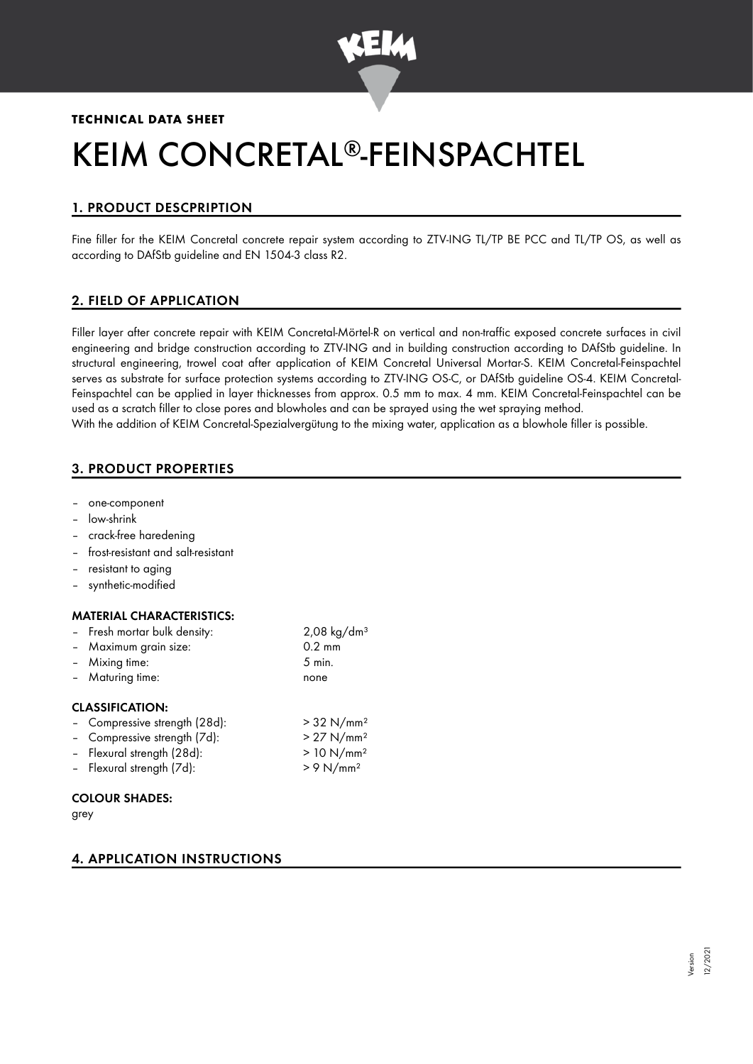

## **TECHNICAL DATA SHEET**

# KEIM CONCRETAL®-FEINSPACHTEL

# 1. PRODUCT DESCPRIPTION

Fine filler for the KEIM Concretal concrete repair system according to ZTV-ING TL/TP BE PCC and TL/TP OS, as well as according to DAfStb guideline and EN 1504-3 class R2.

# 2. FIELD OF APPLICATION

Filler layer after concrete repair with KEIM Concretal-Mörtel-R on vertical and non-traffic exposed concrete surfaces in civil engineering and bridge construction according to ZTV-ING and in building construction according to DAfStb guideline. In structural engineering, trowel coat after application of KEIM Concretal Universal Mortar-S. KEIM Concretal-Feinspachtel serves as substrate for surface protection systems according to ZTV-ING OS-C, or DAfStb guideline OS-4. KEIM Concretal-Feinspachtel can be applied in layer thicknesses from approx. 0.5 mm to max. 4 mm. KEIM Concretal-Feinspachtel can be used as a scratch filler to close pores and blowholes and can be sprayed using the wet spraying method. With the addition of KEIM Concretal-Spezialvergütung to the mixing water, application as a blowhole filler is possible.

# 3. PRODUCT PROPERTIES

- one-component
- low-shrink
- crack-free haredening
- frost-resistant and salt-resistant
- resistant to aging
- synthetic-modified

## MATERIAL CHARACTERISTICS:

| - Fresh mortar bulk density: | $2,08 \text{ kg/dm}^3$ |
|------------------------------|------------------------|
| - Maximum grain size:        | $0.2 \text{ mm}$       |
| - Mixing time:               | $5$ min.               |
| - Maturing time:             | none                   |
|                              |                        |

## CLASSIFICATION:

- Compressive strength  $(28d)$ :  $>$  32 N/mm<sup>2</sup>
- Compressive strength (7d):  $> 27$  N/mm<sup>2</sup> – Flexural strength (28d): > 10 N/mm²
- Flexural strength (7d): > 9 N/mm²

# COLOUR SHADES:

grey

# 4. APPLICATION INSTRUCTIONS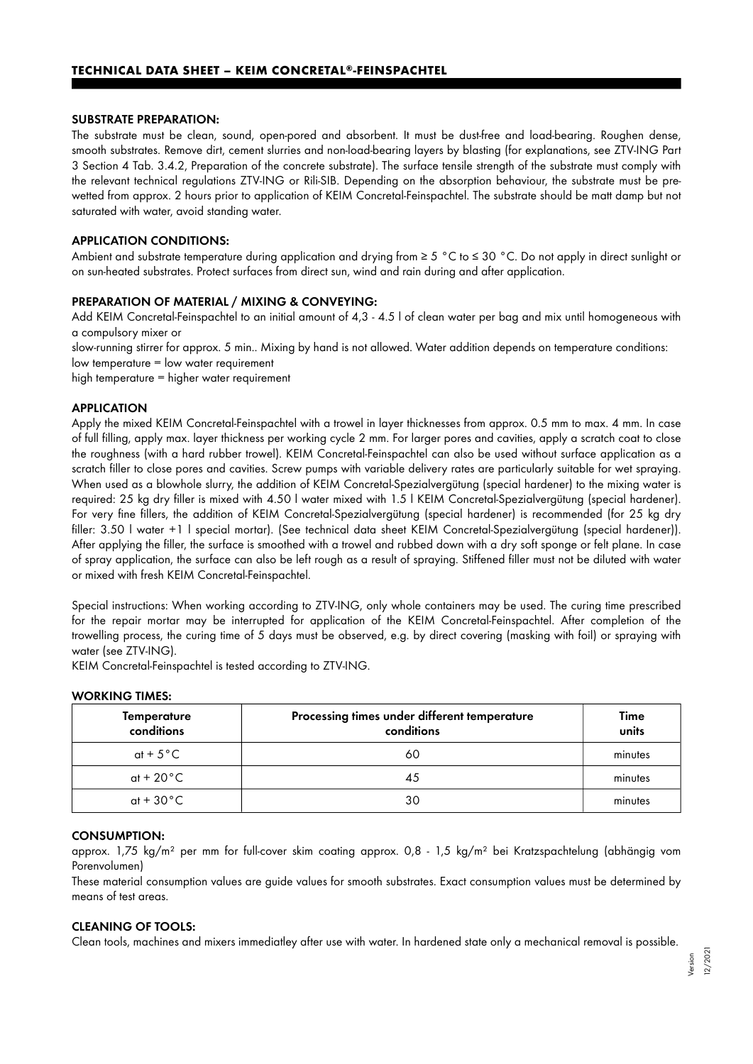#### SUBSTRATE PREPARATION:

The substrate must be clean, sound, open-pored and absorbent. It must be dust-free and load-bearing. Roughen dense, smooth substrates. Remove dirt, cement slurries and non-load-bearing layers by blasting (for explanations, see ZTV-ING Part 3 Section 4 Tab. 3.4.2, Preparation of the concrete substrate). The surface tensile strength of the substrate must comply with the relevant technical regulations ZTV-ING or Rili-SIB. Depending on the absorption behaviour, the substrate must be prewetted from approx. 2 hours prior to application of KEIM Concretal-Feinspachtel. The substrate should be matt damp but not saturated with water, avoid standing water.

#### APPLICATION CONDITIONS:

Ambient and substrate temperature during application and drying from ≥ 5 °C to ≤ 30 °C. Do not apply in direct sunlight or on sun-heated substrates. Protect surfaces from direct sun, wind and rain during and after application.

#### PREPARATION OF MATERIAL / MIXING & CONVEYING:

Add KEIM Concretal-Feinspachtel to an initial amount of 4,3 - 4.5 l of clean water per bag and mix until homogeneous with a compulsory mixer or

slow-running stirrer for approx. 5 min.. Mixing by hand is not allowed. Water addition depends on temperature conditions: low temperature = low water requirement

high temperature = higher water requirement

#### APPLICATION

Apply the mixed KEIM Concretal-Feinspachtel with a trowel in layer thicknesses from approx. 0.5 mm to max. 4 mm. In case of full filling, apply max. layer thickness per working cycle 2 mm. For larger pores and cavities, apply a scratch coat to close the roughness (with a hard rubber trowel). KEIM Concretal-Feinspachtel can also be used without surface application as a scratch filler to close pores and cavities. Screw pumps with variable delivery rates are particularly suitable for wet spraying. When used as a blowhole slurry, the addition of KEIM Concretal-Spezialvergütung (special hardener) to the mixing water is required: 25 kg dry filler is mixed with 4.50 l water mixed with 1.5 l KEIM Concretal-Spezialvergütung (special hardener). For very fine fillers, the addition of KEIM Concretal-Spezialvergütung (special hardener) is recommended (for 25 kg dry filler: 3.50 l water +1 l special mortar). (See technical data sheet KEIM Concretal-Spezialvergütung (special hardener)). After applying the filler, the surface is smoothed with a trowel and rubbed down with a dry soft sponge or felt plane. In case of spray application, the surface can also be left rough as a result of spraying. Stiffened filler must not be diluted with water or mixed with fresh KEIM Concretal-Feinspachtel.

Special instructions: When working according to ZTV-ING, only whole containers may be used. The curing time prescribed for the repair mortar may be interrupted for application of the KEIM Concretal-Feinspachtel. After completion of the trowelling process, the curing time of 5 days must be observed, e.g. by direct covering (masking with foil) or spraying with water (see ZTV-ING).

KEIM Concretal-Feinspachtel is tested according to ZTV-ING.

| <b>Temperature</b><br>conditions | Processing times under different temperature<br>conditions | Time<br>units |  |  |  |  |
|----------------------------------|------------------------------------------------------------|---------------|--|--|--|--|
| at + $5^{\circ}$ C               | 60                                                         | minutes       |  |  |  |  |
| at + 20 $^{\circ}$ C             | 45                                                         | minutes       |  |  |  |  |
| at + $30^{\circ}$ C              | 30                                                         | minutes       |  |  |  |  |

#### WORKING TIMES:

#### CONSUMPTION:

approx. 1,75 kg/m² per mm for full-cover skim coating approx. 0,8 - 1,5 kg/m² bei Kratzspachtelung (abhängig vom Porenvolumen)

These material consumption values are guide values for smooth substrates. Exact consumption values must be determined by means of test areas.

#### CLEANING OF TOOLS:

Clean tools, machines and mixers immediatley after use with water. In hardened state only a mechanical removal is possible.